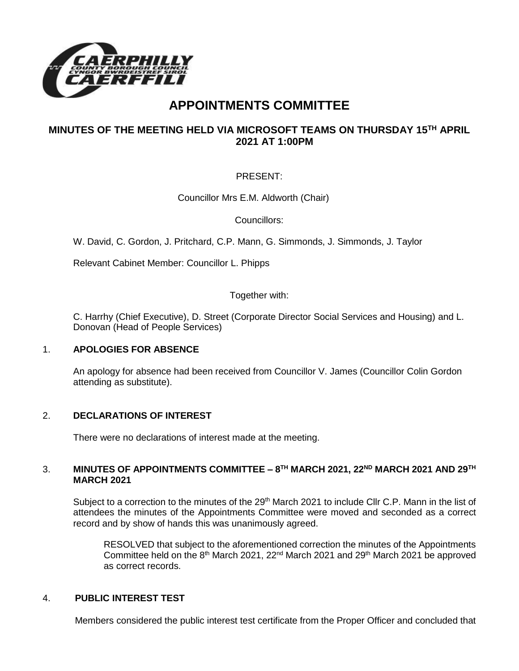

# **APPOINTMENTS COMMITTEE**

## **MINUTES OF THE MEETING HELD VIA MICROSOFT TEAMS ON THURSDAY 15TH APRIL 2021 AT 1:00PM**

## PRESENT:

Councillor Mrs E.M. Aldworth (Chair)

Councillors:

W. David, C. Gordon, J. Pritchard, C.P. Mann, G. Simmonds, J. Simmonds, J. Taylor

Relevant Cabinet Member: Councillor L. Phipps

Together with:

C. Harrhy (Chief Executive), D. Street (Corporate Director Social Services and Housing) and L. Donovan (Head of People Services)

### 1. **APOLOGIES FOR ABSENCE**

An apology for absence had been received from Councillor V. James (Councillor Colin Gordon attending as substitute).

### 2. **DECLARATIONS OF INTEREST**

There were no declarations of interest made at the meeting.

### 3. **MINUTES OF APPOINTMENTS COMMITTEE – 8 TH MARCH 2021, 22ND MARCH 2021 AND 29TH MARCH 2021**

Subject to a correction to the minutes of the 29<sup>th</sup> March 2021 to include Cllr C.P. Mann in the list of attendees the minutes of the Appointments Committee were moved and seconded as a correct record and by show of hands this was unanimously agreed.

RESOLVED that subject to the aforementioned correction the minutes of the Appointments Committee held on the  $8<sup>th</sup>$  March 2021, 22<sup>nd</sup> March 2021 and 29<sup>th</sup> March 2021 be approved as correct records.

### 4. **PUBLIC INTEREST TEST**

Members considered the public interest test certificate from the Proper Officer and concluded that